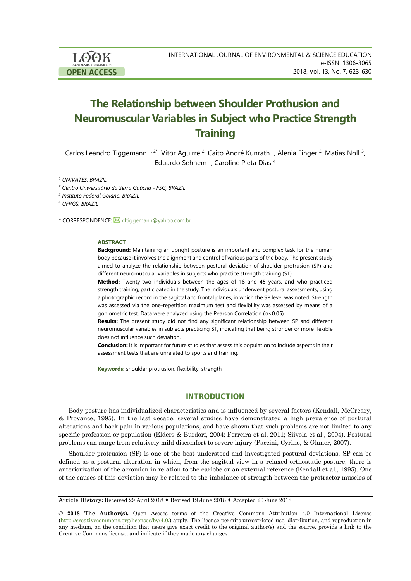LOOK **OPEN ACCESS**

# **The Relationship between Shoulder Prothusion and Neuromuscular Variables in Subject who Practice Strength Training**

Carlos Leandro Tiggemann <sup>1, 2\*</sup>, Vitor Aguirre <sup>2</sup>, Caito André Kunrath <sup>1</sup>, Alenia Finger <sup>2</sup>, Matias Noll <sup>3</sup>, Eduardo Sehnem<sup>1</sup>, Caroline Pieta Dias<sup>4</sup>

*<sup>1</sup> UNIVATES, BRAZIL*

*<sup>2</sup> Centro Universitário da Serra Gaúcha - FSG, BRAZIL*

*<sup>3</sup> Instituto Federal Goiano, BRAZIL*

*<sup>4</sup> UFRGS, BRAZIL*

\* CORRESPONDENCE: Cltiggemann@yahoo.com.br

### **ABSTRACT**

**Background:** Maintaining an upright posture is an important and complex task for the human body because it involves the alignment and control of various parts of the body. The present study aimed to analyze the relationship between postural deviation of shoulder protrusion (SP) and different neuromuscular variables in subjects who practice strength training (ST).

**Method:** Twenty-two individuals between the ages of 18 and 45 years, and who practiced strength training, participated in the study. The individuals underwent postural assessments, using a photographic record in the sagittal and frontal planes, in which the SP level was noted. Strength was assessed via the one-repetition maximum test and flexibility was assessed by means of a goniometric test. Data were analyzed using the Pearson Correlation (α<0.05).

**Results:** The present study did not find any significant relationship between SP and different neuromuscular variables in subjects practicing ST, indicating that being stronger or more flexible does not influence such deviation.

**Conclusion:** It is important for future studies that assess this population to include aspects in their assessment tests that are unrelated to sports and training.

**Keywords:** shoulder protrusion, flexibility, strength

# **INTRODUCTION**

Body posture has individualized characteristics and is influenced by several factors (Kendall, McCreary, & Provance, 1995). In the last decade, several studies have demonstrated a high prevalence of postural alterations and back pain in various populations, and have shown that such problems are not limited to any specific profession or population (Elders & Burdorf, 2004; Ferreira et al. 2011; Siivola et al., 2004). Postural problems can range from relatively mild discomfort to severe injury (Paccini, Cyrino, & Glaner, 2007).

Shoulder protrusion (SP) is one of the best understood and investigated postural deviations. SP can be defined as a postural alteration in which, from the sagittal view in a relaxed orthostatic posture, there is anteriorization of the acromion in relation to the earlobe or an external reference (Kendall et al., 1995). One of the causes of this deviation may be related to the imbalance of strength between the protractor muscles of

**Article History:** Received 29 April 2018 Revised 19 June 2018 Accepted 20 June 2018

**© 2018 The Author(s).** Open Access terms of the Creative Commons Attribution 4.0 International License [\(http://creativecommons.org/licenses/by/4.0/\)](http://creativecommons.org/licenses/by/4.0/) apply. The license permits unrestricted use, distribution, and reproduction in any medium, on the condition that users give exact credit to the original author(s) and the source, provide a link to the Creative Commons license, and indicate if they made any changes.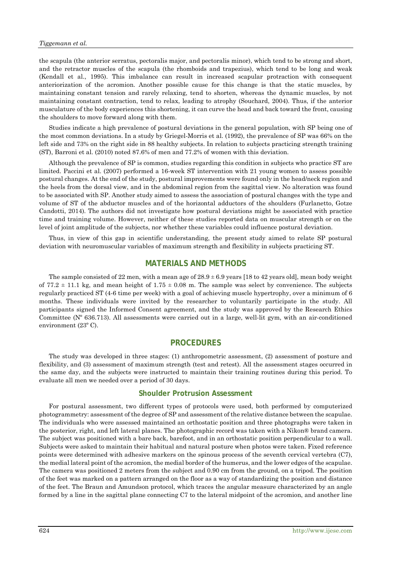the scapula (the anterior serratus, pectoralis major, and pectoralis minor), which tend to be strong and short, and the retractor muscles of the scapula (the rhomboids and trapezius), which tend to be long and weak (Kendall et al., 1995). This imbalance can result in increased scapular protraction with consequent anteriorization of the acromion. Another possible cause for this change is that the static muscles, by maintaining constant tension and rarely relaxing, tend to shorten, whereas the dynamic muscles, by not maintaining constant contraction, tend to relax, leading to atrophy (Souchard, 2004). Thus, if the anterior musculature of the body experiences this shortening, it can curve the head and back toward the front, causing the shoulders to move forward along with them.

Studies indicate a high prevalence of postural deviations in the general population, with SP being one of the most common deviations. In a study by Griegel-Morris et al. (1992), the prevalence of SP was 66% on the left side and 73% on the right side in 88 healthy subjects. In relation to subjects practicing strength training (ST), Barroni et al. (2010) noted 87.6% of men and 77.2% of women with this deviation.

Although the prevalence of SP is common, studies regarding this condition in subjects who practice ST are limited. Paccini et al. (2007) performed a 16-week ST intervention with 21 young women to assess possible postural changes. At the end of the study, postural improvements were found only in the head/neck region and the heels from the dorsal view, and in the abdominal region from the sagittal view. No alteration was found to be associated with SP. Another study aimed to assess the association of postural changes with the type and volume of ST of the abductor muscles and of the horizontal adductors of the shoulders (Furlanetto, Gotze Candotti, 2014). The authors did not investigate how postural deviations might be associated with practice time and training volume. However, neither of these studies reported data on muscular strength or on the level of joint amplitude of the subjects, nor whether these variables could influence postural deviation.

Thus, in view of this gap in scientific understanding, the present study aimed to relate SP postural deviation with neuromuscular variables of maximum strength and flexibility in subjects practicing ST.

# **MATERIALS AND METHODS**

The sample consisted of 22 men, with a mean age of  $28.9 \pm 6.9$  years [18 to 42 years old], mean body weight of  $77.2 \pm 11.1$  kg, and mean height of  $1.75 \pm 0.08$  m. The sample was select by convenience. The subjects regularly practiced ST (4-6 time per week) with a goal of achieving muscle hypertrophy, over a minimum of 6 months. These individuals were invited by the researcher to voluntarily participate in the study. All participants signed the Informed Consent agreement, and the study was approved by the Research Ethics Committee (Nº 636.713). All assessments were carried out in a large, well-lit gym, with an air-conditioned environment (23º C).

# **PROCEDURES**

The study was developed in three stages: (1) anthropometric assessment, (2) assessment of posture and flexibility, and (3) assessment of maximum strength (test and retest). All the assessment stages occurred in the same day, and the subjects were instructed to maintain their training routines during this period. To evaluate all men we needed over a period of 30 days.

### **Shoulder Protrusion Assessment**

For postural assessment, two different types of protocols were used, both performed by computerized photogrammetry: assessment of the degree of SP and assessment of the relative distance between the scapulae. The individuals who were assessed maintained an orthostatic position and three photographs were taken in the posterior, right, and left lateral planes. The photographic record was taken with a Nikon® brand camera. The subject was positioned with a bare back, barefoot, and in an orthostatic position perpendicular to a wall. Subjects were asked to maintain their habitual and natural posture when photos were taken. Fixed reference points were determined with adhesive markers on the spinous process of the seventh cervical vertebra (C7), the medial lateral point of the acromion, the medial border of the humerus, and the lower edges of the scapulae. The camera was positioned 2 meters from the subject and 0.90 cm from the ground, on a tripod. The position of the feet was marked on a pattern arranged on the floor as a way of standardizing the position and distance of the feet. The Braun and Amundson protocol, which traces the angular measure characterized by an angle formed by a line in the sagittal plane connecting C7 to the lateral midpoint of the acromion, and another line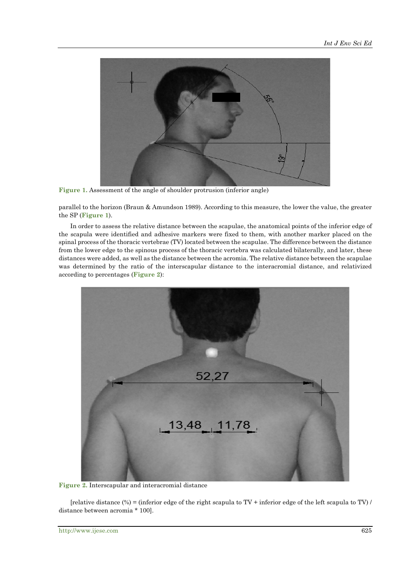

**Figure 1.** Assessment of the angle of shoulder protrusion (inferior angle)

parallel to the horizon (Braun & Amundson 1989). According to this measure, the lower the value, the greater the SP (**Figure 1**).

In order to assess the relative distance between the scapulae, the anatomical points of the inferior edge of the scapula were identified and adhesive markers were fixed to them, with another marker placed on the spinal process of the thoracic vertebrae (TV) located between the scapulae. The difference between the distance from the lower edge to the spinous process of the thoracic vertebra was calculated bilaterally, and later, these distances were added, as well as the distance between the acromia. The relative distance between the scapulae was determined by the ratio of the interscapular distance to the interacromial distance, and relativized according to percentages (**Figure 2**):



**Figure 2.** Interscapular and interacromial distance

[relative distance  $%$  = (inferior edge of the right scapula to TV + inferior edge of the left scapula to TV) / distance between acromia \* 100].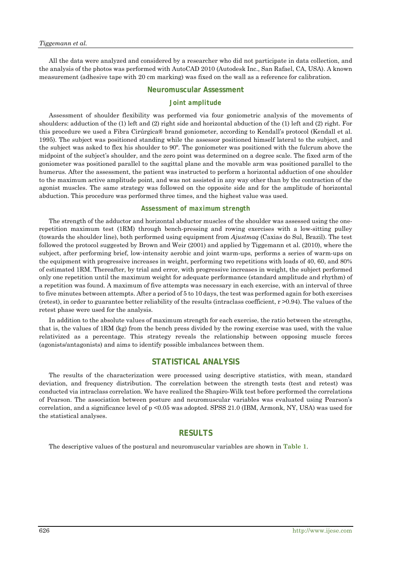All the data were analyzed and considered by a researcher who did not participate in data collection, and the analysis of the photos was performed with AutoCAD 2010 (Autodesk Inc., San Rafael, CA, USA). A known measurement (adhesive tape with 20 cm marking) was fixed on the wall as a reference for calibration.

### **Neuromuscular Assessment**

### *Joint amplitude*

Assessment of shoulder flexibility was performed via four goniometric analysis of the movements of shoulders: adduction of the (1) left and (2) right side and horizontal abduction of the (1) left and (2) right. For this procedure we used a Fibra Cirúrgica® brand goniometer, according to Kendall's protocol (Kendall et al. 1995). The subject was positioned standing while the assessor positioned himself lateral to the subject, and the subject was asked to flex his shoulder to 90º. The goniometer was positioned with the fulcrum above the midpoint of the subject's shoulder, and the zero point was determined on a degree scale. The fixed arm of the goniometer was positioned parallel to the sagittal plane and the movable arm was positioned parallel to the humerus. After the assessment, the patient was instructed to perform a horizontal adduction of one shoulder to the maximum active amplitude point, and was not assisted in any way other than by the contraction of the agonist muscles. The same strategy was followed on the opposite side and for the amplitude of horizontal abduction. This procedure was performed three times, and the highest value was used.

### *Assessment of maximum strength*

The strength of the adductor and horizontal abductor muscles of the shoulder was assessed using the onerepetition maximum test (1RM) through bench-pressing and rowing exercises with a low-sitting pulley (towards the shoulder line), both performed using equipment from *Ajustmaq* (Caxias do Sul, Brazil). The test followed the protocol suggested by Brown and Weir (2001) and applied by Tiggemann et al. (2010), where the subject, after performing brief, low-intensity aerobic and joint warm-ups, performs a series of warm-ups on the equipment with progressive increases in weight, performing two repetitions with loads of 40, 60, and 80% of estimated 1RM. Thereafter, by trial and error, with progressive increases in weight, the subject performed only one repetition until the maximum weight for adequate performance (standard amplitude and rhythm) of a repetition was found. A maximum of five attempts was necessary in each exercise, with an interval of three to five minutes between attempts. After a period of 5 to 10 days, the test was performed again for both exercises (retest), in order to guarantee better reliability of the results (intraclass coefficient,  $r > 0.94$ ). The values of the retest phase were used for the analysis.

In addition to the absolute values of maximum strength for each exercise, the ratio between the strengths, that is, the values of 1RM (kg) from the bench press divided by the rowing exercise was used, with the value relativized as a percentage. This strategy reveals the relationship between opposing muscle forces (agonists/antagonists) and aims to identify possible imbalances between them.

# **STATISTICAL ANALYSIS**

The results of the characterization were processed using descriptive statistics, with mean, standard deviation, and frequency distribution. The correlation between the strength tests (test and retest) was conducted via intraclass correlation. We have realized the Shapiro-Wilk test before performed the correlations of Pearson. The association between posture and neuromuscular variables was evaluated using Pearson's correlation, and a significance level of p <0.05 was adopted. SPSS 21.0 (IBM, Armonk, NY, USA) was used for the statistical analyses.

# **RESULTS**

The descriptive values of the postural and neuromuscular variables are shown in **Table 1**.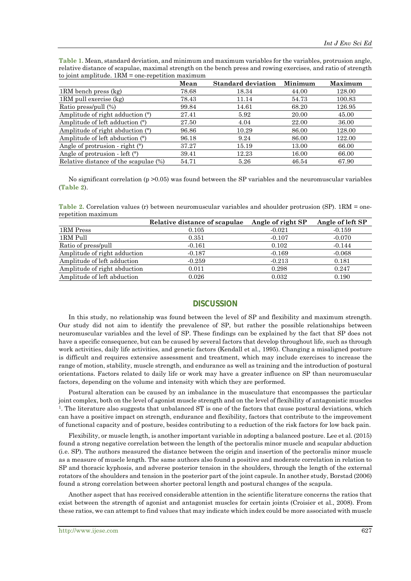**Table 1.** Mean, standard deviation, and minimum and maximum variables for the variables, protrusion angle, relative distance of scapulae, maximal strength on the bench press and rowing exercises, and ratio of strength to joint amplitude.  $1RM =$  one-repetition maximum

|                                       | Mean  | <b>Standard deviation</b> | Minimum | Maximum |
|---------------------------------------|-------|---------------------------|---------|---------|
| 1RM bench press (kg)                  | 78.68 | 18.34                     | 44.00   | 128.00  |
| 1RM pull exercise (kg)                | 78.43 | 11.14                     | 54.73   | 100.83  |
| Ratio press/pull (%)                  | 99.84 | 14.61                     | 68.20   | 126.95  |
| Amplitude of right adduction (°)      | 27.41 | 5.92                      | 20.00   | 45.00   |
| Amplitude of left adduction (°)       | 27.50 | 4.04                      | 22.00   | 36.00   |
| Amplitude of right abduction (°)      | 96.86 | 10.29                     | 86.00   | 128.00  |
| Amplitude of left abduction $(°)$     | 96.18 | 9.24                      | 86.00   | 122.00  |
| Angle of protrusion - right $(°)$     | 37.27 | 15.19                     | 13.00   | 66.00   |
| Angle of protrusion - left $(°)$      | 39.41 | 12.23                     | 16.00   | 66.00   |
| Relative distance of the scapulae (%) | 54.71 | 5.26                      | 46.54   | 67.90   |

No significant correlation ( $p > 0.05$ ) was found between the SP variables and the neuromuscular variables (**Table 2**).

Table 2. Correlation values (r) between neuromuscular variables and shoulder protrusion (SP). 1RM = onerepetition maximum

|                              | Relative distance of scapulae | Angle of right SP | Angle of left SP |
|------------------------------|-------------------------------|-------------------|------------------|
| 1RM Press                    | 0.105                         | $-0.021$          | $-0.159$         |
| 1RM Pull                     | 0.351                         | $-0.107$          | $-0.070$         |
| Ratio of press/pull          | $-0.161$                      | 0.102             | $-0.144$         |
| Amplitude of right adduction | $-0.187$                      | $-0.169$          | $-0.068$         |
| Amplitude of left adduction  | $-0.259$                      | $-0.213$          | 0.181            |
| Amplitude of right abduction | 0.011                         | 0.298             | 0.247            |
| Amplitude of left abduction  | 0.026                         | 0.032             | 0.190            |

# **DISCUSSION**

In this study, no relationship was found between the level of SP and flexibility and maximum strength. Our study did not aim to identify the prevalence of SP, but rather the possible relationships between neuromuscular variables and the level of SP. These findings can be explained by the fact that SP does not have a specific consequence, but can be caused by several factors that develop throughout life, such as through work activities, daily life activities, and genetic factors (Kendall et al., 1995). Changing a misaligned posture is difficult and requires extensive assessment and treatment, which may include exercises to increase the range of motion, stability, muscle strength, and endurance as well as training and the introduction of postural orientations. Factors related to daily life or work may have a greater influence on SP than neuromuscular factors, depending on the volume and intensity with which they are performed.

Postural alteration can be caused by an imbalance in the musculature that encompasses the particular joint complex, both on the level of agonist muscle strength and on the level of flexibility of antagonistic muscles 1. The literature also suggests that unbalanced ST is one of the factors that cause postural deviations, which can have a positive impact on strength, endurance and flexibility, factors that contribute to the improvement of functional capacity and of posture, besides contributing to a reduction of the risk factors for low back pain.

Flexibility, or muscle length, is another important variable in adopting a balanced posture. Lee et al. (2015) found a strong negative correlation between the length of the pectoralis minor muscle and scapular abduction (i.e. SP). The authors measured the distance between the origin and insertion of the pectoralis minor muscle as a measure of muscle length. The same authors also found a positive and moderate correlation in relation to SP and thoracic kyphosis, and adverse posterior tension in the shoulders, through the length of the external rotators of the shoulders and tension in the posterior part of the joint capsule. In another study, Borstad (2006) found a strong correlation between shorter pectoral length and postural changes of the scapula.

Another aspect that has received considerable attention in the scientific literature concerns the ratios that exist between the strength of agonist and antagonist muscles for certain joints (Croisier et al., 2008). From these ratios, we can attempt to find values that may indicate which index could be more associated with muscle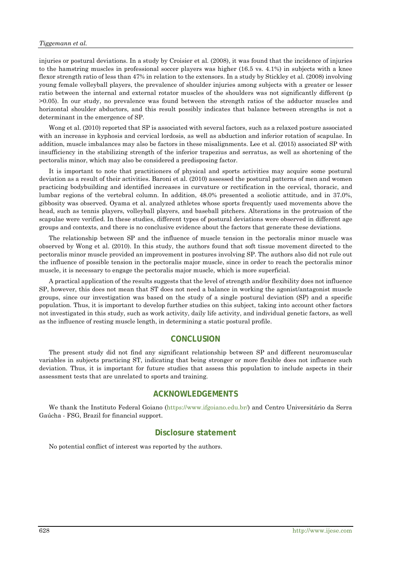#### *Tiggemann et al.*

injuries or postural deviations. In a study by Croisier et al. (2008), it was found that the incidence of injuries to the hamstring muscles in professional soccer players was higher (16.5 vs. 4.1%) in subjects with a knee flexor strength ratio of less than 47% in relation to the extensors. In a study by Stickley et al. (2008) involving young female volleyball players, the prevalence of shoulder injuries among subjects with a greater or lesser ratio between the internal and external rotator muscles of the shoulders was not significantly different (p >0.05). In our study, no prevalence was found between the strength ratios of the adductor muscles and horizontal shoulder abductors, and this result possibly indicates that balance between strengths is not a determinant in the emergence of SP.

Wong et al. (2010) reported that SP is associated with several factors, such as a relaxed posture associated with an increase in kyphosis and cervical lordosis, as well as abduction and inferior rotation of scapulae. In addition, muscle imbalances may also be factors in these misalignments. Lee et al. (2015) associated SP with insufficiency in the stabilizing strength of the inferior trapezius and serratus, as well as shortening of the pectoralis minor, which may also be considered a predisposing factor.

It is important to note that practitioners of physical and sports activities may acquire some postural deviation as a result of their activities. Baroni et al. (2010) assessed the postural patterns of men and women practicing bodybuilding and identified increases in curvature or rectification in the cervical, thoracic, and lumbar regions of the vertebral column. In addition, 48.0% presented a scoliotic attitude, and in 37.0%, gibbosity was observed. Oyama et al. analyzed athletes whose sports frequently used movements above the head, such as tennis players, volleyball players, and baseball pitchers. Alterations in the protrusion of the scapulae were verified. In these studies, different types of postural deviations were observed in different age groups and contexts, and there is no conclusive evidence about the factors that generate these deviations.

The relationship between SP and the influence of muscle tension in the pectoralis minor muscle was observed by Wong et al. (2010). In this study, the authors found that soft tissue movement directed to the pectoralis minor muscle provided an improvement in postures involving SP. The authors also did not rule out the influence of possible tension in the pectoralis major muscle, since in order to reach the pectoralis minor muscle, it is necessary to engage the pectoralis major muscle, which is more superficial.

A practical application of the results suggests that the level of strength and/or flexibility does not influence SP, however, this does not mean that ST does not need a balance in working the agonist/antagonist muscle groups, since our investigation was based on the study of a single postural deviation (SP) and a specific population. Thus, it is important to develop further studies on this subject, taking into account other factors not investigated in this study, such as work activity, daily life activity, and individual genetic factors, as well as the influence of resting muscle length, in determining a static postural profile.

### **CONCLUSION**

The present study did not find any significant relationship between SP and different neuromuscular variables in subjects practicing ST, indicating that being stronger or more flexible does not influence such deviation. Thus, it is important for future studies that assess this population to include aspects in their assessment tests that are unrelated to sports and training.

## **ACKNOWLEDGEMENTS**

We thank the Instituto Federal Goiano [\(https://www.ifgoiano.edu.br/\)](https://www.ifgoiano.edu.br/) and Centro Universitário da Serra Gaúcha - FSG, Brazil for financial support.

# **Disclosure statement**

No potential conflict of interest was reported by the authors.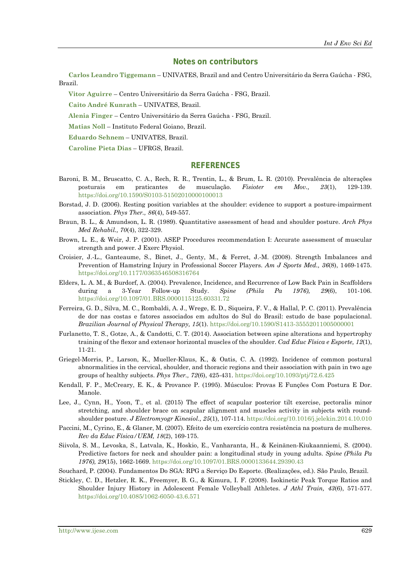### **Notes on contributors**

**Carlos Leandro Tiggemann** – UNIVATES, Brazil and and Centro Universitário da Serra Gaúcha - FSG, Brazil.

**Vitor Aguirre** – Centro Universitário da Serra Gaúcha - FSG, Brazil.

**Caito André Kunrath** – UNIVATES, Brazil.

**Alenia Finger** – Centro Universitário da Serra Gaúcha - FSG, Brazil.

**Matias Noll** – Instituto Federal Goiano, Brazil.

**Eduardo Sehnem** – UNIVATES, Brazil.

**Caroline Pieta Dias** – UFRGS, Brazil.

# **REFERENCES**

- Baroni, B. M., Bruscatto, C. A., Rech, R. R., Trentin, L., & Brum, L. R. (2010). Prevalência de alterações posturais em praticantes de musculação. *Fisioter em Mov., 23*(1), 129-139. <https://doi.org/10.1590/S0103-51502010000100013>
- Borstad, J. D. (2006). Resting position variables at the shoulder: evidence to support a posture-impairment association. *Phys Ther., 86*(4), 549-557.
- Braun, B. L., & Amundson, L. R. (1989). Quantitative assessment of head and shoulder posture. *Arch Phys Med Rehabil., 70*(4), 322-329.
- Brown, L. E., & Weir, J. P. (2001). ASEP Procedures recommendation I: Accurate assessment of muscular strength and power. J Exerc Physiol.
- Croisier, J.-L., Ganteaume, S., Binet, J., Genty, M., & Ferret, J.-M. (2008). Strength Imbalances and Prevention of Hamstring Injury in Professional Soccer Players. *Am J Sports Med., 36*(8), 1469-1475. <https://doi.org/10.1177/0363546508316764>
- Elders, L. A. M., & Burdorf, A. (2004). Prevalence, Incidence, and Recurrence of Low Back Pain in Scaffolders during a 3-Year Follow-up Study. *Spine (Phila Pa 1976), 29*(6), 101-106. <https://doi.org/10.1097/01.BRS.0000115125.60331.72>
- Ferreira, G. D., Silva, M. C., Rombaldi, A. J., Wrege, E. D., Siqueira, F. V., & Hallal, P. C. (2011). Prevalência de dor nas costas e fatores associados em adultos do Sul do Brasil: estudo de base populacional. *Brazilian Journal of Physical Therapy, 15*(1). <https://doi.org/10.1590/S1413-35552011005000001>
- Furlanetto, T. S., Gotze, A., & Candotti, C. T. (2014). Association between spine alterations and hypertrophy training of the flexor and extensor horizontal muscles of the shoulder. *Cad Educ Física e Esporte, 12*(1), 11-21.
- Griegel-Morris, P., Larson, K., Mueller-Klaus, K., & Oatis, C. A. (1992). Incidence of common postural abnormalities in the cervical, shoulder, and thoracic regions and their association with pain in two age groups of healthy subjects. *Phys Ther., 72*(6), 425-431. <https://doi.org/10.1093/ptj/72.6.425>
- Kendall, F. P., McCreary, E. K., & Provance P. (1995). Músculos: Provas E Funções Com Postura E Dor. Manole.
- Lee, J., Cynn, H., Yoon, T., et al. (2015) The effect of scapular posterior tilt exercise, pectoralis minor stretching, and shoulder brace on scapular alignment and muscles activity in subjects with roundshoulder posture. *J Electromyogr Kinesiol., 25*(1), 107-114[. https://doi.org/10.1016/j.jelekin.2014.10.010](https://doi.org/10.1016/j.jelekin.2014.10.010)
- Paccini, M., Cyrino, E., & Glaner, M. (2007). Efeito de um exercício contra resistência na postura de mulheres. *Rev da Educ Física/UEM, 18*(2), 169-175.
- Siivola, S. M., Levoska, S., Latvala, K., Hoskio, E., Vanharanta, H., & Keinänen-Kiukaanniemi, S. (2004). Predictive factors for neck and shoulder pain: a longitudinal study in young adults. *Spine (Phila Pa 1976), 29*(15), 1662-1669[. https://doi.org/10.1097/01.BRS.0000133644.29390.43](https://doi.org/10.1097/01.BRS.0000133644.29390.43)
- Souchard, P. (2004). Fundamentos Do SGA: RPG a Serviço Do Esporte. (Realizações, ed.). São Paulo, Brazil.
- Stickley, C. D., Hetzler, R. K., Freemyer, B. G., & Kimura, I. F. (2008). Isokinetic Peak Torque Ratios and Shoulder Injury History in Adolescent Female Volleyball Athletes. *J Athl Train, 43*(6), 571-577. <https://doi.org/10.4085/1062-6050-43.6.571>